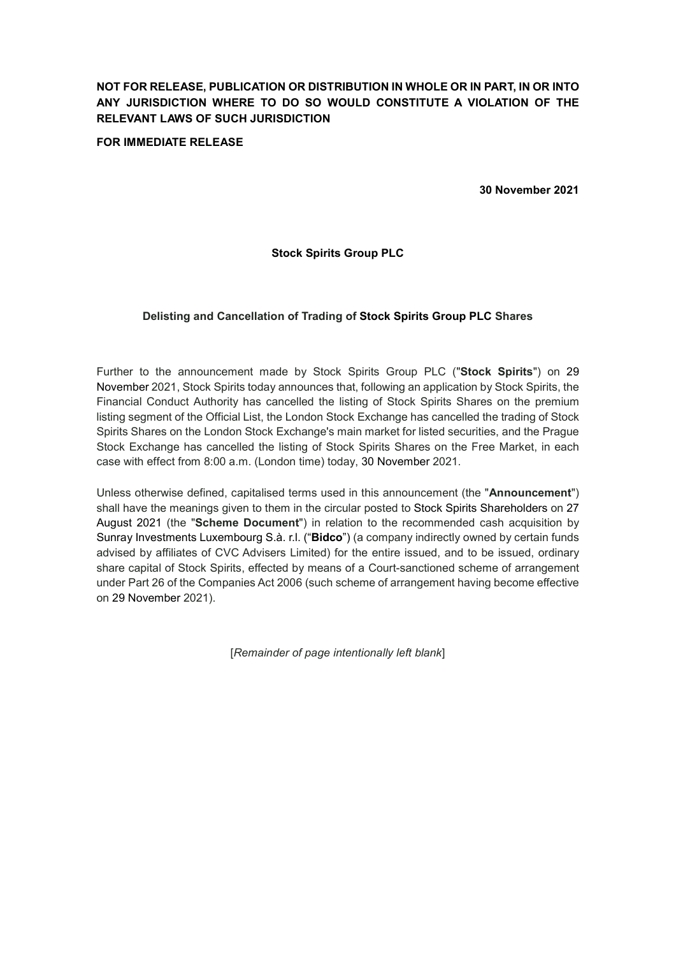# NOT FOR RELEASE, PUBLICATION OR DISTRIBUTION IN WHOLE OR IN PART, IN OR INTO ANY JURISDICTION WHERE TO DO SO WOULD CONSTITUTE A VIOLATION OF THE RELEVANT LAWS OF SUCH JURISDICTION

# FOR IMMEDIATE RELEASE

30 November 2021

# Stock Spirits Group PLC

# Delisting and Cancellation of Trading of Stock Spirits Group PLC Shares

Further to the announcement made by Stock Spirits Group PLC ("Stock Spirits") on 29 November 2021, Stock Spirits today announces that, following an application by Stock Spirits, the Financial Conduct Authority has cancelled the listing of Stock Spirits Shares on the premium listing segment of the Official List, the London Stock Exchange has cancelled the trading of Stock Spirits Shares on the London Stock Exchange's main market for listed securities, and the Prague Stock Exchange has cancelled the listing of Stock Spirits Shares on the Free Market, in each case with effect from 8:00 a.m. (London time) today, 30 November 2021.

Unless otherwise defined, capitalised terms used in this announcement (the "Announcement") shall have the meanings given to them in the circular posted to Stock Spirits Shareholders on 27 August 2021 (the "Scheme Document") in relation to the recommended cash acquisition by Sunray Investments Luxembourg S.à. r.l. ("Bidco") (a company indirectly owned by certain funds advised by affiliates of CVC Advisers Limited) for the entire issued, and to be issued, ordinary share capital of Stock Spirits, effected by means of a Court-sanctioned scheme of arrangement under Part 26 of the Companies Act 2006 (such scheme of arrangement having become effective on 29 November 2021).

[Remainder of page intentionally left blank]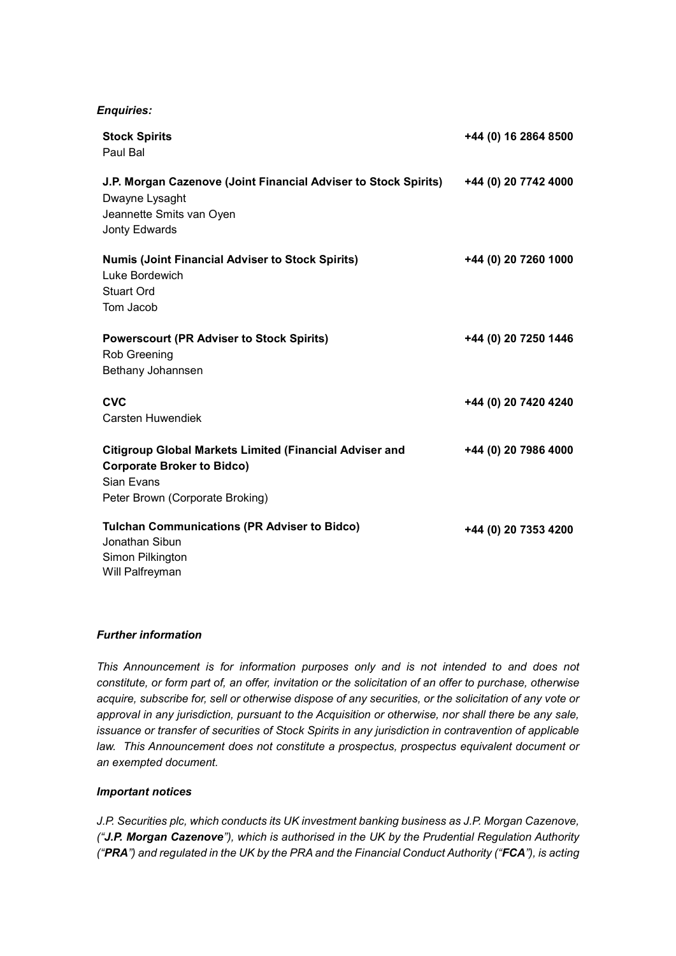## Enquiries:

| <b>Stock Spirits</b><br>Paul Bal                                                                                                                     | +44 (0) 16 2864 8500 |
|------------------------------------------------------------------------------------------------------------------------------------------------------|----------------------|
| J.P. Morgan Cazenove (Joint Financial Adviser to Stock Spirits)<br>Dwayne Lysaght<br>Jeannette Smits van Oyen<br>Jonty Edwards                       | +44 (0) 20 7742 4000 |
| <b>Numis (Joint Financial Adviser to Stock Spirits)</b><br>Luke Bordewich<br>Stuart Ord<br>Tom Jacob                                                 | +44 (0) 20 7260 1000 |
| <b>Powerscourt (PR Adviser to Stock Spirits)</b><br>Rob Greening<br>Bethany Johannsen                                                                | +44 (0) 20 7250 1446 |
| <b>CVC</b><br><b>Carsten Huwendiek</b>                                                                                                               | +44 (0) 20 7420 4240 |
| <b>Citigroup Global Markets Limited (Financial Adviser and</b><br><b>Corporate Broker to Bidco)</b><br>Sian Evans<br>Peter Brown (Corporate Broking) | +44 (0) 20 7986 4000 |
| <b>Tulchan Communications (PR Adviser to Bidco)</b><br>Jonathan Sibun<br>Simon Pilkington<br>Will Palfreyman                                         | +44 (0) 20 7353 4200 |

# Further information

This Announcement is for information purposes only and is not intended to and does not constitute, or form part of, an offer, invitation or the solicitation of an offer to purchase, otherwise acquire, subscribe for, sell or otherwise dispose of any securities, or the solicitation of any vote or approval in any jurisdiction, pursuant to the Acquisition or otherwise, nor shall there be any sale, issuance or transfer of securities of Stock Spirits in any jurisdiction in contravention of applicable law. This Announcement does not constitute a prospectus, prospectus equivalent document or an exempted document.

# Important notices

J.P. Securities plc, which conducts its UK investment banking business as J.P. Morgan Cazenove, ("J.P. Morgan Cazenove"), which is authorised in the UK by the Prudential Regulation Authority ("PRA") and regulated in the UK by the PRA and the Financial Conduct Authority ("FCA"), is acting